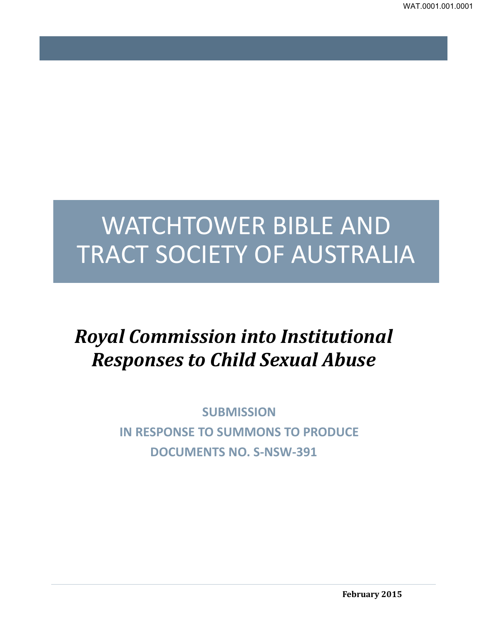# WATCHTOWER BIBLE AND TRACT SOCIETY OF AUSTRALIA

## *Royal Commission into Institutional Responses to Child Sexual Abuse*

**SUBMISSION IN RESPONSE TO SUMMONS TO PRODUCE DOCUMENTS NO. S-NSW-391**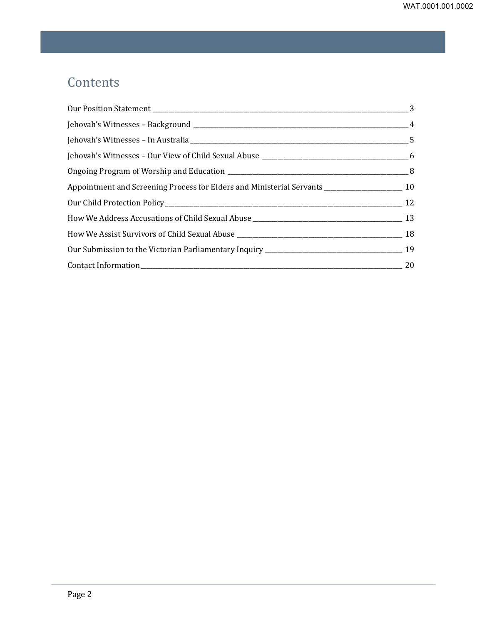## **Contents**

| Appointment and Screening Process for Elders and Ministerial Servants _________________________ 10 |                |
|----------------------------------------------------------------------------------------------------|----------------|
|                                                                                                    |                |
|                                                                                                    |                |
|                                                                                                    |                |
|                                                                                                    |                |
|                                                                                                    | $\frac{1}{20}$ |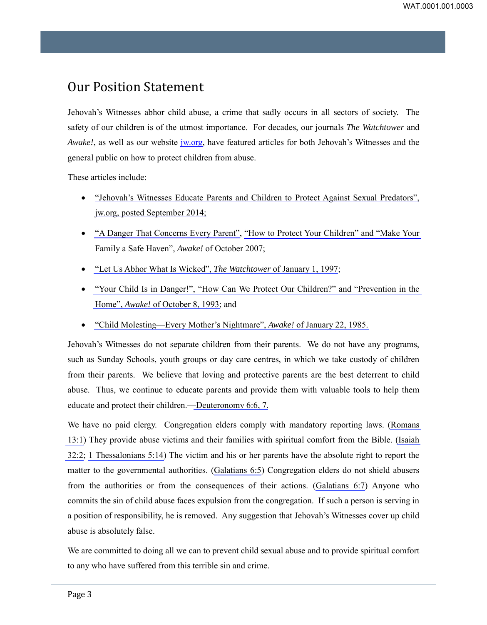## <span id="page-2-0"></span>Our Position Statement

Jehovah's Witnesses abhor child abuse, a crime that sadly occurs in all sectors of society. The safety of our children is of the utmost importance. For decades, our journals *The Watchtower* and *Awake!*, as well as our website *jw.org*, have featured articles for both Jehovah's Witnesses and the general public on how to protect children from abuse.

These articles include:

- ["Jehovah's Witnesses Educate Parents and Children to Protect](http://www.jw.org/en/jehovahs-witnesses/activities/help-community/safeguarding-children-sexual-abuse/) Against Sexual Predators", [jw.org, posted September 2014;](http://www.jw.org/en/jehovahs-witnesses/activities/help-community/safeguarding-children-sexual-abuse/)
- "A Danger That Concerns Every Parent", "How to Protect Your Children" and "Make Your Family a Safe Haven", *Awake!* of October 2007;
- "Let Us Abhor What Is Wicked", *The Watchtower* of January 1, 1997;
- "Your Child Is in Danger!", "How Can We Protect Our Children?" and "Prevention in the Home", *Awake!* of October 8, 1993; and
- "Child Molesting—Every Mother's Nightmare", *Awake!* of January 22, 1985.

Jehovah's Witnesses do not separate children from their parents. We do not have any programs, such as Sunday Schools, youth groups or day care centres, in which we take custody of children from their parents. We believe that loving and protective parents are the best deterrent to child abuse. Thus, we continue to educate parents and provide them with valuable tools to help them educate and protect their children.—Deuteronomy 6:6, 7.

We have no paid clergy. Congregation elders comply with mandatory reporting laws. (Romans 13:1) They provide abuse victims and their families with spiritual comfort from the Bible. (Isaiah 32:2; 1 Thessalonians 5:14) The victim and his or her parents have the absolute right to report the matter to the governmental authorities. (Galatians 6:5) Congregation elders do not shield abusers from the authorities or from the consequences of their actions. (Galatians 6:7) Anyone who commits the sin of child abuse faces expulsion from the congregation. If such a person is serving in a position of responsibility, he is removed. Any suggestion that Jehovah's Witnesses cover up child abuse is absolutely false.

We are committed to doing all we can to prevent child sexual abuse and to provide spiritual comfort to any who have suffered from this terrible sin and crime.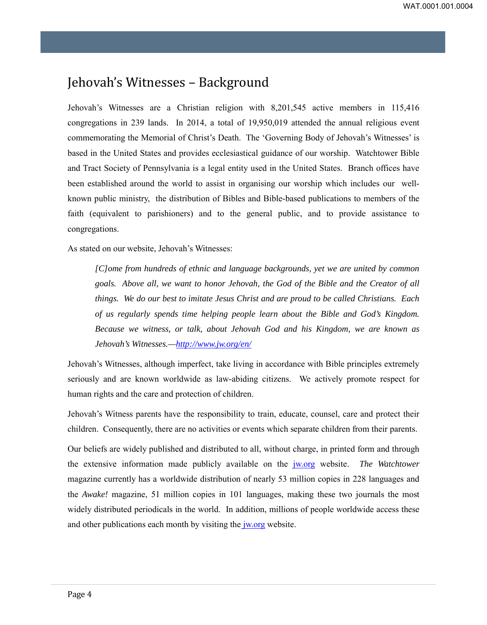## <span id="page-3-0"></span>Jehovah's Witnesses – Background

Jehovah's Witnesses are a Christian religion with 8,201,545 active members in 115,416 congregations in 239 lands. In 2014, a total of 19,950,019 attended the annual religious event commemorating the Memorial of Christ's Death. The 'Governing Body of Jehovah's Witnesses' is based in the United States and provides ecclesiastical guidance of our worship. Watchtower Bible and Tract Society of Pennsylvania is a legal entity used in the United States. Branch offices have been established around the world to assist in organising our worship which includes our wellknown public ministry, the distribution of Bibles and Bible-based publications to members of the faith (equivalent to parishioners) and to the general public, and to provide assistance to congregations.

As stated on our website, Jehovah's Witnesses:

*[C]ome from hundreds of ethnic and language backgrounds, yet we are united by common goals. Above all, we want to honor Jehovah, the God of the Bible and the Creator of all things. We do our best to imitate Jesus Christ and are proud to be called Christians. Each of us regularly spends time helping people learn about the Bible and God's Kingdom. Because we witness, or talk, about Jehovah God and his Kingdom, we are known as Jehovah's Witnesses.[—http://www.jw.org/en/](http://www.jw.org/en/)* 

Jehovah's Witnesses, although imperfect, take living in accordance with Bible principles extremely seriously and are known worldwide as law-abiding citizens. We actively promote respect for human rights and the care and protection of children.

Jehovah's Witness parents have the responsibility to train, educate, counsel, care and protect their children. Consequently, there are no activities or events which separate children from their parents.

Our beliefs are widely published and distributed to all, without charge, in printed form and through the extensive information made publicly available on the [jw.org](http://www.jw.org/en/) website. *The Watchtower* magazine currently has a worldwide distribution of nearly 53 million copies in 228 languages and the *Awake!* magazine, 51 million copies in 101 languages, making these two journals the most widely distributed periodicals in the world. In addition, millions of people worldwide access these and other publications each month by visiting the *jw.org* website.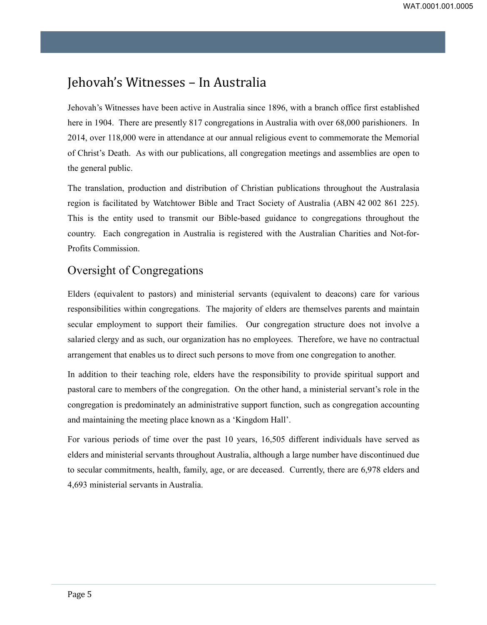## <span id="page-4-0"></span>Jehovah's Witnesses – In Australia

Jehovah's Witnesses have been active in Australia since 1896, with a branch office first established here in 1904. There are presently 817 congregations in Australia with over 68,000 parishioners. In 2014, over 118,000 were in attendance at our annual religious event to commemorate the Memorial of Christ's Death. As with our publications, all congregation meetings and assemblies are open to the general public.

The translation, production and distribution of Christian publications throughout the Australasia region is facilitated by Watchtower Bible and Tract Society of Australia (ABN 42 002 861 225). This is the entity used to transmit our Bible-based guidance to congregations throughout the country. Each congregation in Australia is registered with the Australian Charities and Not-for-Profits Commission.

#### Oversight of Congregations

Elders (equivalent to pastors) and ministerial servants (equivalent to deacons) care for various responsibilities within congregations. The majority of elders are themselves parents and maintain secular employment to support their families. Our congregation structure does not involve a salaried clergy and as such, our organization has no employees. Therefore, we have no contractual arrangement that enables us to direct such persons to move from one congregation to another.

In addition to their teaching role, elders have the responsibility to provide spiritual support and pastoral care to members of the congregation. On the other hand, a ministerial servant's role in the congregation is predominately an administrative support function, such as congregation accounting and maintaining the meeting place known as a 'Kingdom Hall'.

For various periods of time over the past 10 years, 16,505 different individuals have served as elders and ministerial servants throughout Australia, although a large number have discontinued due to secular commitments, health, family, age, or are deceased. Currently, there are 6,978 elders and 4,693 ministerial servants in Australia.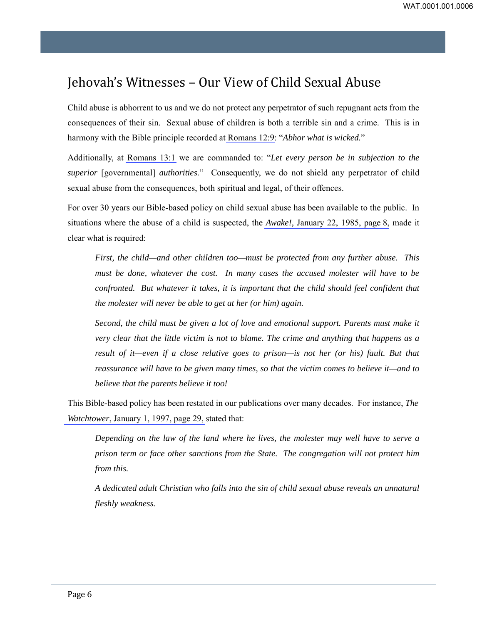## <span id="page-5-0"></span>Jehovah's Witnesses – Our View of Child Sexual Abuse

Child abuse is abhorrent to us and we do not protect any perpetrator of such repugnant acts from the consequences of their sin. Sexual abuse of children is both a terrible sin and a crime. This is in harmony with the Bible principle recorded at Romans 12:9: "*Abhor what is wicked.*"

Additionally, at Romans 13:1 we are commanded to: "*Let every person be in subjection to the superior* [governmental] *authorities.*" Consequently, we do not shield any perpetrator of child sexual abuse from the consequences, both spiritual and legal, of their offences.

For over 30 years our Bible-based policy on child sexual abuse has been available to the public. In situations where the abuse of a child is suspected, the *Awake!,* January 22, 1985, page 8, made it clear what is required:

*First, the child—and other children too—must be protected from any further abuse. This must be done, whatever the cost. In many cases the accused molester will have to be confronted. But whatever it takes, it is important that the child should feel confident that the molester will never be able to get at her (or him) again.* 

*Second, the child must be given a lot of love and emotional support. Parents must make it very clear that the little victim is not to blame. The crime and anything that happens as a result of it—even if a close relative goes to prison—is not her (or his) fault. But that reassurance will have to be given many times, so that the victim comes to believe it—and to believe that the parents believe it too!*

This Bible-based policy has been restated in our publications over many decades. For instance, *The Watchtower*, January 1, 1997, page 29, stated that:

*Depending on the law of the land where he lives, the molester may well have to serve a prison term or face other sanctions from the State. The congregation will not protect him from this.*

*A dedicated adult Christian who falls into the sin of child sexual abuse reveals an unnatural fleshly weakness.*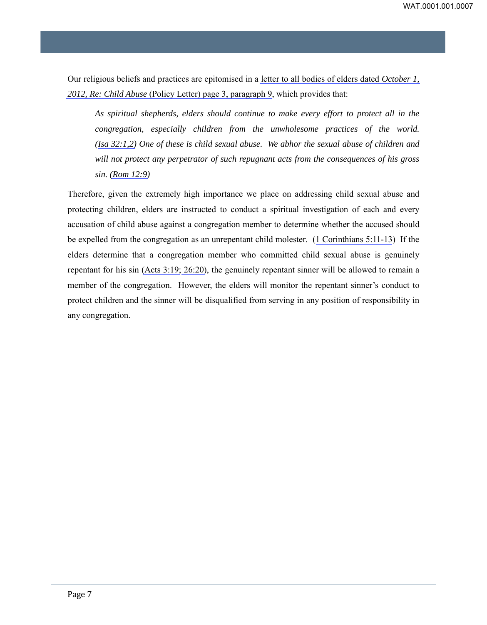Our religious beliefs and practices are epitomised in a letter to all bodies of elders dated *October 1, 2012, Re: Child Abuse* (Policy Letter) page 3, paragraph 9, which provides that:

*As spiritual shepherds, elders should continue to make every effort to protect all in the congregation, especially children from the unwholesome practices of the world. (Isa 32:1,2) One of these is child sexual abuse. We abhor the sexual abuse of children and will not protect any perpetrator of such repugnant acts from the consequences of his gross sin. (Rom 12:9)* 

Therefore, given the extremely high importance we place on addressing child sexual abuse and protecting children, elders are instructed to conduct a spiritual investigation of each and every accusation of child abuse against a congregation member to determine whether the accused should be expelled from the congregation as an unrepentant child molester. (1 Corinthians 5:11-13) If the elders determine that a congregation member who committed child sexual abuse is genuinely repentant for his sin (Acts 3:19; 26:20), the genuinely repentant sinner will be allowed to remain a member of the congregation. However, the elders will monitor the repentant sinner's conduct to protect children and the sinner will be disqualified from serving in any position of responsibility in any congregation.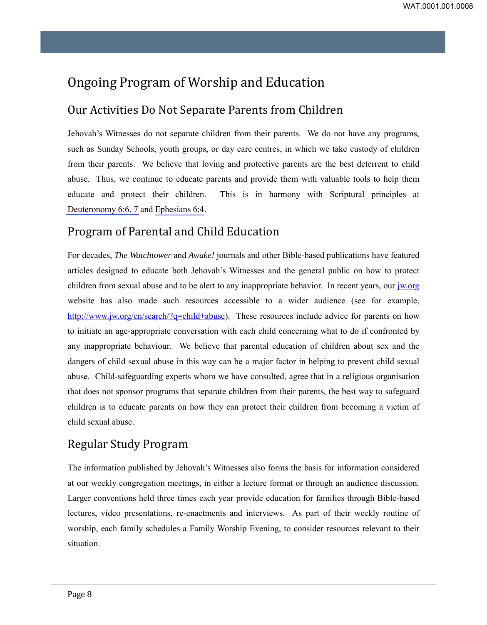## <span id="page-7-0"></span>Ongoing Program of Worship and Education

#### Our Activities Do Not Separate Parents from Children

Jehovah's Witnesses do not separate children from their parents. We do not have any programs, such as Sunday Schools, youth groups, or day care centres, in which we take custody of children from their parents. We believe that loving and protective parents are the best deterrent to child abuse. Thus, we continue to educate parents and provide them with valuable tools to help them educate and protect their children. This is in harmony with Scriptural principles at Deuteronomy 6:6, 7 and Ephesians 6:4.

## Program of Parental and Child Education

For decades, *The Watchtower* and *Awake!* journals and other Bible-based publications have featured articles designed to educate both Jehovah's Witnesses and the general public on how to protect children from sexual abuse and to be alert to any inappropriate behavior. In recent years, our [jw.org](http://www.jw.org/en/)  website has also made such resources accessible to a wider audience (see for example, [http://www.jw.org/en/search/?q=child+abuse\)](http://www.jw.org/en/search/?q=child+abuse). These resources include advice for parents on how to initiate an age-appropriate conversation with each child concerning what to do if confronted by any inappropriate behaviour. We believe that parental education of children about sex and the dangers of child sexual abuse in this way can be a major factor in helping to prevent child sexual abuse. Child-safeguarding experts whom we have consulted, agree that in a religious organisation that does not sponsor programs that separate children from their parents, the best way to safeguard children is to educate parents on how they can protect their children from becoming a victim of child sexual abuse.

## Regular Study Program

The information published by Jehovah's Witnesses also forms the basis for information considered at our weekly congregation meetings, in either a lecture format or through an audience discussion. Larger conventions held three times each year provide education for families through Bible-based lectures, video presentations, re-enactments and interviews. As part of their weekly routine of worship, each family schedules a Family Worship Evening, to consider resources relevant to their situation.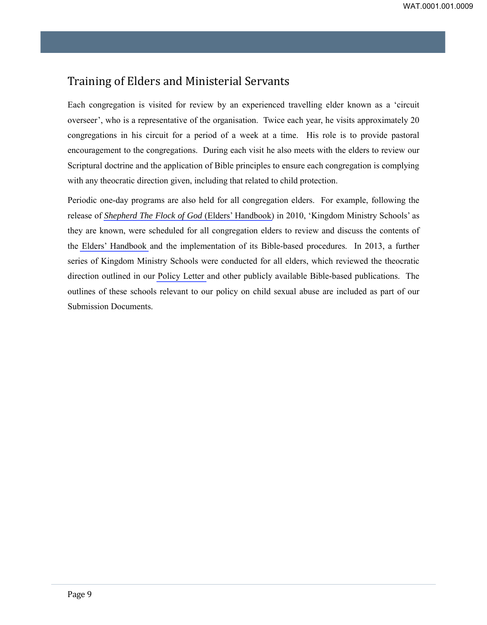#### Training of Elders and Ministerial Servants

Each congregation is visited for review by an experienced travelling elder known as a 'circuit overseer', who is a representative of the organisation. Twice each year, he visits approximately 20 congregations in his circuit for a period of a week at a time. His role is to provide pastoral encouragement to the congregations. During each visit he also meets with the elders to review our Scriptural doctrine and the application of Bible principles to ensure each congregation is complying with any theocratic direction given, including that related to child protection.

Periodic one-day programs are also held for all congregation elders. For example, following the release of *Shepherd The Flock of God* (Elders' Handbook) in 2010, 'Kingdom Ministry Schools' as they are known, were scheduled for all congregation elders to review and discuss the contents of the Elders' Handbook and the implementation of its Bible-based procedures. In 2013, a further series of Kingdom Ministry Schools were conducted for all elders, which reviewed the theocratic direction outlined in our Policy Letter and other publicly available Bible-based publications. The outlines of these schools relevant to our policy on child sexual abuse are included as part of our Submission Documents.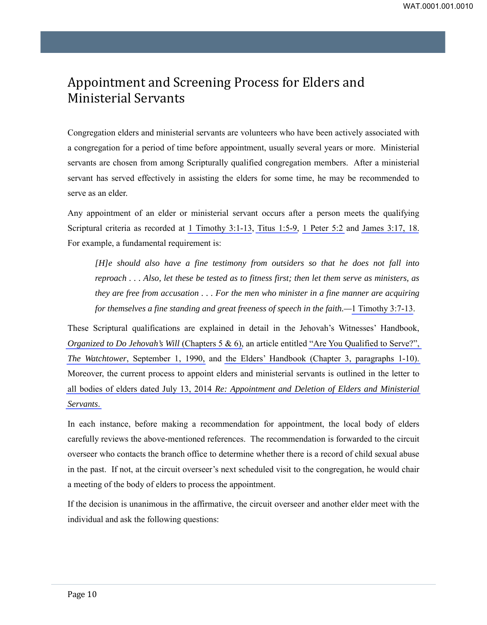## <span id="page-9-0"></span>Appointment and Screening Process for Elders and Ministerial Servants

Congregation elders and ministerial servants are volunteers who have been actively associated with a congregation for a period of time before appointment, usually several years or more. Ministerial servants are chosen from among Scripturally qualified congregation members. After a ministerial servant has served effectively in assisting the elders for some time, he may be recommended to serve as an elder.

Any appointment of an elder or ministerial servant occurs after a person meets the qualifying Scriptural criteria as recorded at 1 Timothy 3:1-13, Titus 1:5-9, 1 Peter 5:2 and James 3:17, 18. For example, a fundamental requirement is:

*[H]e should also have a fine testimony from outsiders so that he does not fall into reproach . . . Also, let these be tested as to fitness first; then let them serve as ministers, as they are free from accusation . . . For the men who minister in a fine manner are acquiring for themselves a fine standing and great freeness of speech in the faith.—*1 Timothy 3:7-13.

These Scriptural qualifications are explained in detail in the Jehovah's Witnesses' Handbook, *Organized to Do Jehovah's Will* (Chapters 5 & 6), an article entitled "Are You Qualified to Serve?", *The Watchtower*, September 1, 1990, and the Elders' Handbook (Chapter 3, paragraphs 1-10). Moreover, the current process to appoint elders and ministerial servants is outlined in the letter to all bodies of elders dated July 13, 2014 *Re: Appointment and Deletion of Elders and Ministerial Servants*.

In each instance, before making a recommendation for appointment, the local body of elders carefully reviews the above-mentioned references. The recommendation is forwarded to the circuit overseer who contacts the branch office to determine whether there is a record of child sexual abuse in the past. If not, at the circuit overseer's next scheduled visit to the congregation, he would chair a meeting of the body of elders to process the appointment.

If the decision is unanimous in the affirmative, the circuit overseer and another elder meet with the individual and ask the following questions: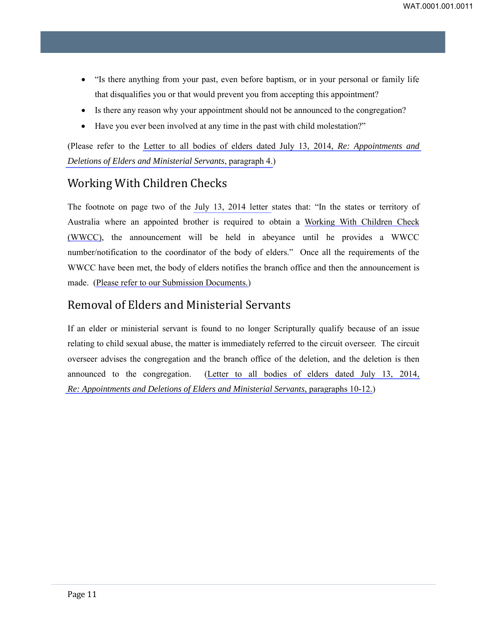- "Is there anything from your past, even before baptism, or in your personal or family life that disqualifies you or that would prevent you from accepting this appointment?
- Is there any reason why your appointment should not be announced to the congregation?
- Have you ever been involved at any time in the past with child molestation?"

(Please refer to the Letter to all bodies of elders dated July 13, 2014, *Re: Appointments and Deletions of Elders and Ministerial Servants*, paragraph 4.)

## Working With Children Checks

The footnote on page two of the July 13, 2014 letter states that: "In the states or territory of Australia where an appointed brother is required to obtain a Working With Children Check (WWCC), the announcement will be held in abeyance until he provides a WWCC number/notification to the coordinator of the body of elders." Once all the requirements of the WWCC have been met, the body of elders notifies the branch office and then the announcement is made. (Please refer to our Submission Documents.)

#### Removal of Elders and Ministerial Servants

If an elder or ministerial servant is found to no longer Scripturally qualify because of an issue relating to child sexual abuse, the matter is immediately referred to the circuit overseer. The circuit overseer advises the congregation and the branch office of the deletion, and the deletion is then announced to the congregation. (Letter to all bodies of elders dated July 13, 2014, *Re: Appointments and Deletions of Elders and Ministerial Servants*, paragraphs 10-12.)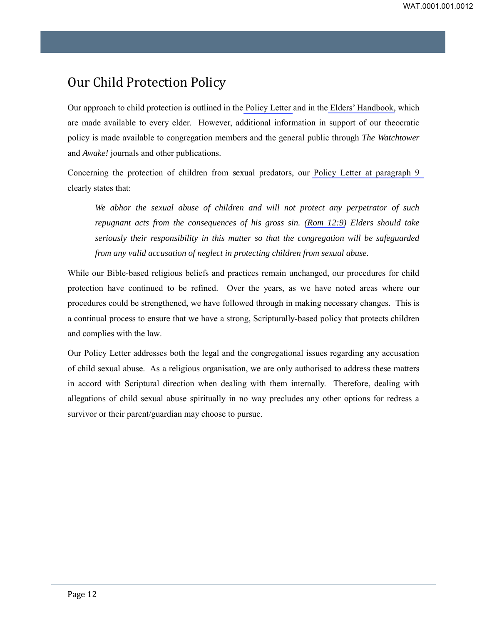## <span id="page-11-0"></span>Our Child Protection Policy

Our approach to child protection is outlined in the Policy Letter and in the Elders' Handbook, which are made available to every elder. However, additional information in support of our theocratic policy is made available to congregation members and the general public through *The Watchtower* and *Awake!* journals and other publications.

Concerning the protection of children from sexual predators, our Policy Letter at paragraph 9 clearly states that:

*We abhor the sexual abuse of children and will not protect any perpetrator of such repugnant acts from the consequences of his gross sin. (Rom 12:9) Elders should take seriously their responsibility in this matter so that the congregation will be safeguarded from any valid accusation of neglect in protecting children from sexual abuse.* 

While our Bible-based religious beliefs and practices remain unchanged, our procedures for child protection have continued to be refined. Over the years, as we have noted areas where our procedures could be strengthened, we have followed through in making necessary changes. This is a continual process to ensure that we have a strong, Scripturally-based policy that protects children and complies with the law.

Our Policy Letter addresses both the legal and the congregational issues regarding any accusation of child sexual abuse. As a religious organisation, we are only authorised to address these matters in accord with Scriptural direction when dealing with them internally. Therefore, dealing with allegations of child sexual abuse spiritually in no way precludes any other options for redress a survivor or their parent/guardian may choose to pursue.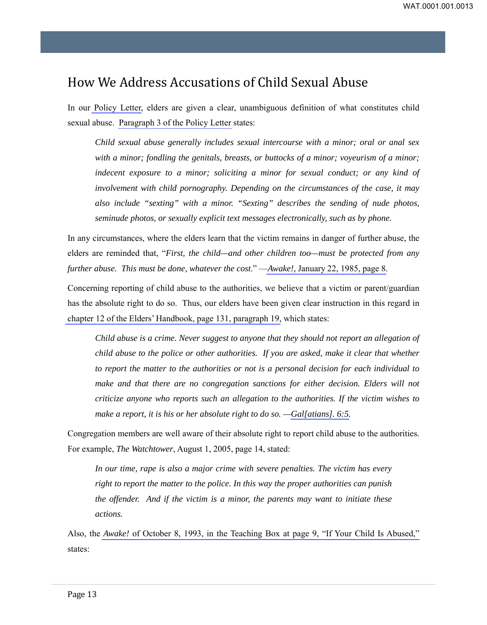## <span id="page-12-0"></span>How We Address Accusations of Child Sexual Abuse

In our Policy Letter, elders are given a clear, unambiguous definition of what constitutes child sexual abuse. Paragraph 3 of the Policy Letter states:

*Child sexual abuse generally includes sexual intercourse with a minor; oral or anal sex with a minor; fondling the genitals, breasts, or buttocks of a minor; voyeurism of a minor; indecent exposure to a minor; soliciting a minor for sexual conduct; or any kind of involvement with child pornography. Depending on the circumstances of the case, it may also include "sexting" with a minor. "Sexting" describes the sending of nude photos, seminude photos, or sexually explicit text messages electronically, such as by phone.* 

In any circumstances, where the elders learn that the victim remains in danger of further abuse, the elders are reminded that, "*First, the child—and other children too—must be protected from any further abuse. This must be done, whatever the cost*." —*Awake!,* January 22, 1985, page 8.

Concerning reporting of child abuse to the authorities, we believe that a victim or parent/guardian has the absolute right to do so. Thus, our elders have been given clear instruction in this regard in chapter 12 of the Elders' Handbook, page 131, paragraph 19, which states:

*Child abuse is a crime. Never suggest to anyone that they should not report an allegation of child abuse to the police or other authorities. If you are asked, make it clear that whether to report the matter to the authorities or not is a personal decision for each individual to make and that there are no congregation sanctions for either decision. Elders will not criticize anyone who reports such an allegation to the authorities. If the victim wishes to make a report, it is his or her absolute right to do so.*  $-QaI[atians]$ . 6:5.

Congregation members are well aware of their absolute right to report child abuse to the authorities. For example, *The Watchtower*, August 1, 2005, page 14, stated:

*In our time, rape is also a major crime with severe penalties. The victim has every right to report the matter to the police. In this way the proper authorities can punish the offender. And if the victim is a minor, the parents may want to initiate these actions.* 

Also, the *Awake!* of October 8, 1993, in the Teaching Box at page 9, "If Your Child Is Abused," states: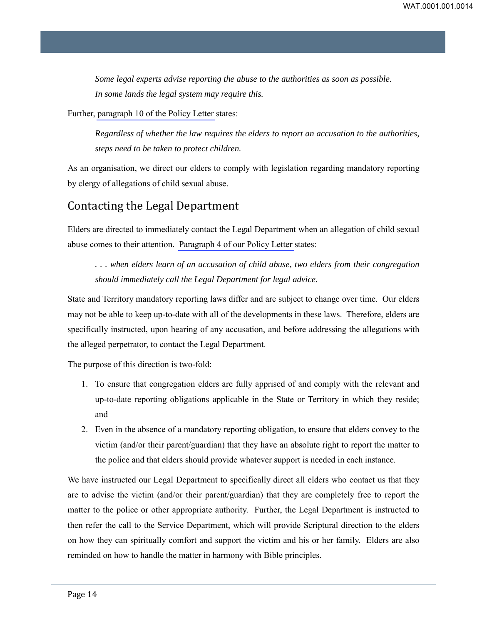*Some legal experts advise reporting the abuse to the authorities as soon as possible. In some lands the legal system may require this.* 

Further, paragraph 10 of the Policy Letter states:

*Regardless of whether the law requires the elders to report an accusation to the authorities, steps need to be taken to protect children.* 

As an organisation, we direct our elders to comply with legislation regarding mandatory reporting by clergy of allegations of child sexual abuse.

#### Contacting the Legal Department

Elders are directed to immediately contact the Legal Department when an allegation of child sexual abuse comes to their attention. Paragraph 4 of our Policy Letter states:

*. . . when elders learn of an accusation of child abuse, two elders from their congregation should immediately call the Legal Department for legal advice.* 

State and Territory mandatory reporting laws differ and are subject to change over time. Our elders may not be able to keep up-to-date with all of the developments in these laws. Therefore, elders are specifically instructed, upon hearing of any accusation, and before addressing the allegations with the alleged perpetrator, to contact the Legal Department.

The purpose of this direction is two-fold:

- 1. To ensure that congregation elders are fully apprised of and comply with the relevant and up-to-date reporting obligations applicable in the State or Territory in which they reside; and
- 2. Even in the absence of a mandatory reporting obligation, to ensure that elders convey to the victim (and/or their parent/guardian) that they have an absolute right to report the matter to the police and that elders should provide whatever support is needed in each instance.

We have instructed our Legal Department to specifically direct all elders who contact us that they are to advise the victim (and/or their parent/guardian) that they are completely free to report the matter to the police or other appropriate authority. Further, the Legal Department is instructed to then refer the call to the Service Department, which will provide Scriptural direction to the elders on how they can spiritually comfort and support the victim and his or her family. Elders are also reminded on how to handle the matter in harmony with Bible principles.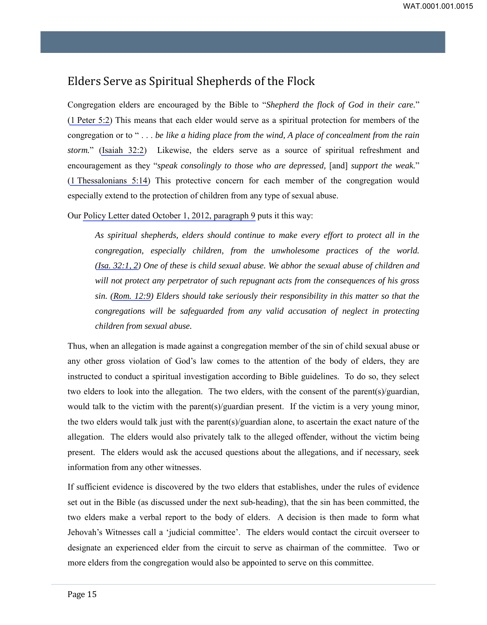## Elders Serve as Spiritual Shepherds of the Flock

Congregation elders are encouraged by the Bible to "*Shepherd the flock of God in their care.*" (1 Peter 5:2) This means that each elder would serve as a spiritual protection for members of the congregation or to " . . . *be like a hiding place from the wind, A place of concealment from the rain storm.*" (Isaiah 32:2) Likewise, the elders serve as a source of spiritual refreshment and encouragement as they "*speak consolingly to those who are depressed,* [and] *support the weak.*" (1 Thessalonians 5:14) This protective concern for each member of the congregation would especially extend to the protection of children from any type of sexual abuse.

Our Policy Letter dated October 1, 2012, paragraph 9 puts it this way:

*As spiritual shepherds, elders should continue to make every effort to protect all in the congregation, especially children, from the unwholesome practices of the world. (Isa. 32:1, 2) One of these is child sexual abuse. We abhor the sexual abuse of children and will not protect any perpetrator of such repugnant acts from the consequences of his gross sin. (Rom. 12:9) Elders should take seriously their responsibility in this matter so that the congregations will be safeguarded from any valid accusation of neglect in protecting children from sexual abuse.* 

Thus, when an allegation is made against a congregation member of the sin of child sexual abuse or any other gross violation of God's law comes to the attention of the body of elders, they are instructed to conduct a spiritual investigation according to Bible guidelines. To do so, they select two elders to look into the allegation. The two elders, with the consent of the parent(s)/guardian, would talk to the victim with the parent(s)/guardian present. If the victim is a very young minor, the two elders would talk just with the parent(s)/guardian alone, to ascertain the exact nature of the allegation. The elders would also privately talk to the alleged offender, without the victim being present. The elders would ask the accused questions about the allegations, and if necessary, seek information from any other witnesses.

If sufficient evidence is discovered by the two elders that establishes, under the rules of evidence set out in the Bible (as discussed under the next sub-heading), that the sin has been committed, the two elders make a verbal report to the body of elders. A decision is then made to form what Jehovah's Witnesses call a 'judicial committee'. The elders would contact the circuit overseer to designate an experienced elder from the circuit to serve as chairman of the committee. Two or more elders from the congregation would also be appointed to serve on this committee.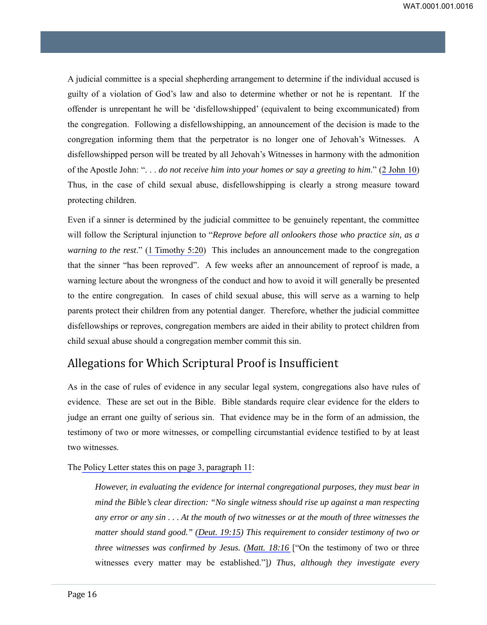A judicial committee is a special shepherding arrangement to determine if the individual accused is guilty of a violation of God's law and also to determine whether or not he is repentant. If the offender is unrepentant he will be 'disfellowshipped' (equivalent to being excommunicated) from the congregation. Following a disfellowshipping, an announcement of the decision is made to the congregation informing them that the perpetrator is no longer one of Jehovah's Witnesses. A disfellowshipped person will be treated by all Jehovah's Witnesses in harmony with the admonition of the Apostle John: ". . . *do not receive him into your homes or say a greeting to him*." (2 John 10) Thus, in the case of child sexual abuse, disfellowshipping is clearly a strong measure toward protecting children.

Even if a sinner is determined by the judicial committee to be genuinely repentant, the committee will follow the Scriptural injunction to "*Reprove before all onlookers those who practice sin, as a warning to the rest*." (1 Timothy 5:20) This includes an announcement made to the congregation that the sinner "has been reproved". A few weeks after an announcement of reproof is made, a warning lecture about the wrongness of the conduct and how to avoid it will generally be presented to the entire congregation. In cases of child sexual abuse, this will serve as a warning to help parents protect their children from any potential danger. Therefore, whether the judicial committee disfellowships or reproves, congregation members are aided in their ability to protect children from child sexual abuse should a congregation member commit this sin.

#### Allegations for Which Scriptural Proof is Insufficient

As in the case of rules of evidence in any secular legal system, congregations also have rules of evidence. These are set out in the Bible. Bible standards require clear evidence for the elders to judge an errant one guilty of serious sin. That evidence may be in the form of an admission, the testimony of two or more witnesses, or compelling circumstantial evidence testified to by at least two witnesses.

The Policy Letter states this on page 3, paragraph 11:

*However, in evaluating the evidence for internal congregational purposes, they must bear in mind the Bible's clear direction: "No single witness should rise up against a man respecting any error or any sin . . . At the mouth of two witnesses or at the mouth of three witnesses the matter should stand good." (Deut. 19:15) This requirement to consider testimony of two or three witnesses was confirmed by Jesus. (Matt. 18:16* ["On the testimony of two or three witnesses every matter may be established."]*) Thus, although they investigate every*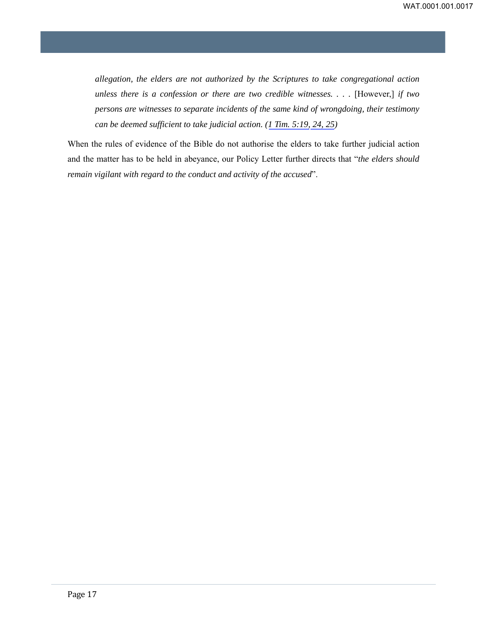*allegation, the elders are not authorized by the Scriptures to take congregational action unless there is a confession or there are two credible witnesses. . . .* [However,] *if two persons are witnesses to separate incidents of the same kind of wrongdoing, their testimony can be deemed sufficient to take judicial action. (1 Tim. 5:19, 24, 25)* 

When the rules of evidence of the Bible do not authorise the elders to take further judicial action and the matter has to be held in abeyance, our Policy Letter further directs that "*the elders should remain vigilant with regard to the conduct and activity of the accused*".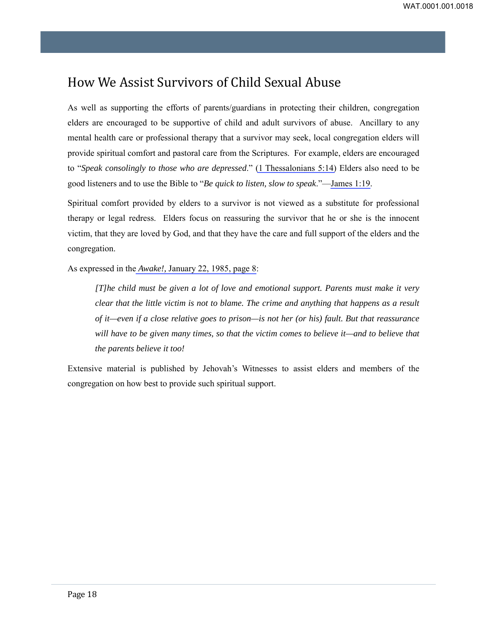## <span id="page-17-0"></span>How We Assist Survivors of Child Sexual Abuse

As well as supporting the efforts of parents/guardians in protecting their children, congregation elders are encouraged to be supportive of child and adult survivors of abuse. Ancillary to any mental health care or professional therapy that a survivor may seek, local congregation elders will provide spiritual comfort and pastoral care from the Scriptures. For example, elders are encouraged to "*Speak consolingly to those who are depressed*." (1 Thessalonians 5:14) Elders also need to be good listeners and to use the Bible to "*Be quick to listen, slow to speak*."—James 1:19.

Spiritual comfort provided by elders to a survivor is not viewed as a substitute for professional therapy or legal redress. Elders focus on reassuring the survivor that he or she is the innocent victim, that they are loved by God, and that they have the care and full support of the elders and the congregation.

As expressed in the *Awake!,* January 22, 1985, page 8:

*[T]he child must be given a lot of love and emotional support. Parents must make it very clear that the little victim is not to blame. The crime and anything that happens as a result of it—even if a close relative goes to prison—is not her (or his) fault. But that reassurance will have to be given many times, so that the victim comes to believe it—and to believe that the parents believe it too!* 

Extensive material is published by Jehovah's Witnesses to assist elders and members of the congregation on how best to provide such spiritual support.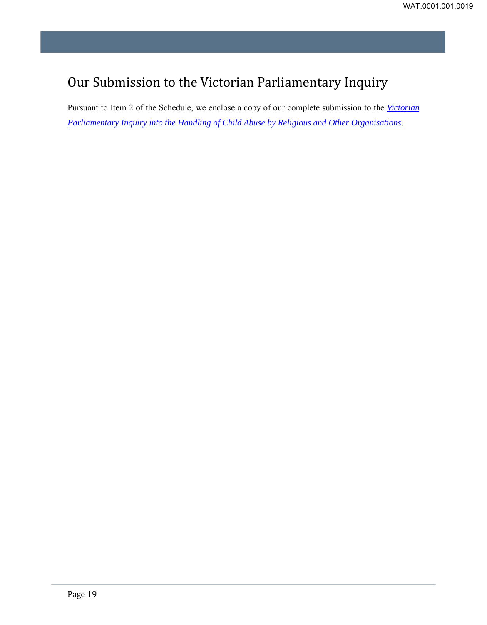## <span id="page-18-0"></span>Our Submission to the Victorian Parliamentary Inquiry

Pursuant to Item 2 of the Schedule, we enclose a copy of our complete submission to the *Victorian Parliamentary Inquiry into the Handling of Child Abuse by Religious and Other Organisations*.